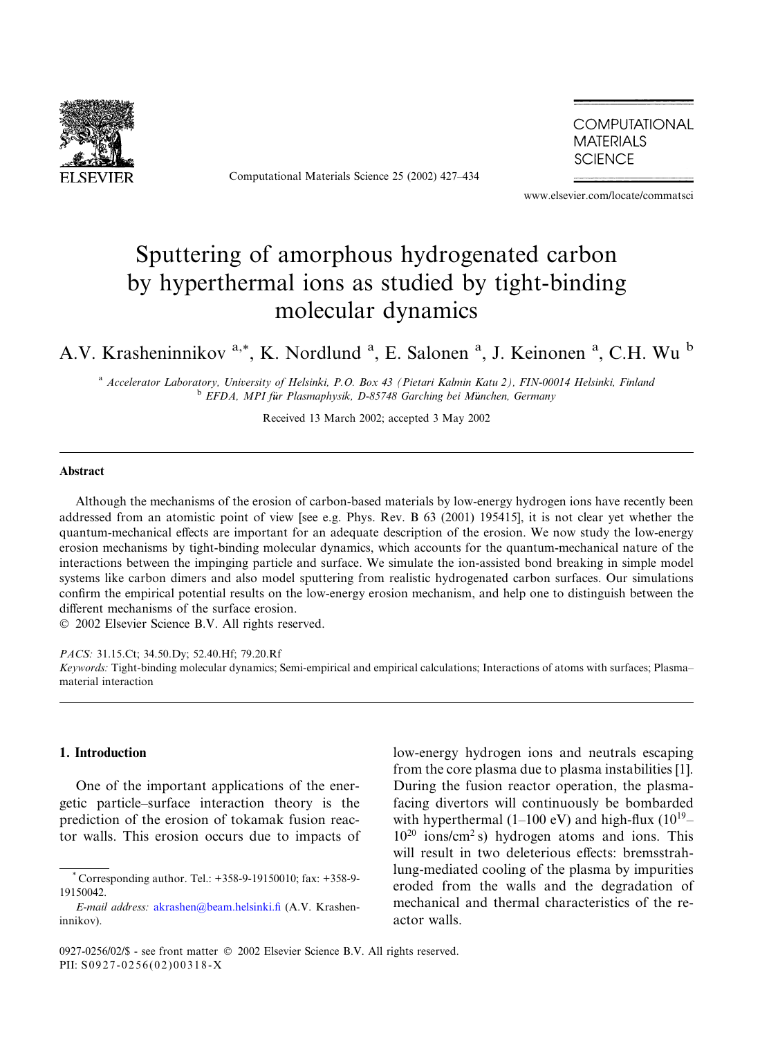

Computational Materials Science 25 (2002) 427–434

**COMPUTATIONAL MATERIALS SCIENCE** 

www.elsevier.com/locate/commatsci

# Sputtering of amorphous hydrogenated carbon by hyperthermal ions as studied by tight-binding molecular dynamics

A.V. Krasheninnikov<sup>a,\*</sup>, K. Nordlund<sup>a</sup>, E. Salonen<sup>a</sup>, J. Keinonen<sup>a</sup>, C.H. Wu<sup>b</sup>

<sup>a</sup> Accelerator Laboratory, University of Helsinki, P.O. Box 43 (Pietari Kalmin Katu 2), FIN-00014 Helsinki, Finland <sup>b</sup> EFDA, MPI für Plasmaphysik, D-85748 Garching bei München, Germany

Received 13 March 2002; accepted 3 May 2002

#### Abstract

Although the mechanisms of the erosion of carbon-based materials by low-energy hydrogen ions have recently been addressed from an atomistic point of view [see e.g. Phys. Rev. B 63 (2001) 195415], it is not clear yet whether the quantum-mechanical effects are important for an adequate description of the erosion. We now study the low-energy erosion mechanisms by tight-binding molecular dynamics, which accounts for the quantum-mechanical nature of the interactions between the impinging particle and surface. We simulate the ion-assisted bond breaking in simple model systems like carbon dimers and also model sputtering from realistic hydrogenated carbon surfaces. Our simulations confirm the empirical potential results on the low-energy erosion mechanism, and help one to distinguish between the different mechanisms of the surface erosion.

2002 Elsevier Science B.V. All rights reserved.

PACS: 31.15.Ct; 34.50.Dy; 52.40.Hf; 79.20.Rf

Keywords: Tight-binding molecular dynamics; Semi-empirical and empirical calculations; Interactions of atoms with surfaces; Plasmamaterial interaction

## 1. Introduction

One of the important applications of the energetic particle–surface interaction theory is the prediction of the erosion of tokamak fusion reactor walls. This erosion occurs due to impacts of low-energy hydrogen ions and neutrals escaping from the core plasma due to plasma instabilities [1]. During the fusion reactor operation, the plasmafacing divertors will continuously be bombarded with hyperthermal (1–100 eV) and high-flux  $(10^{19} -$ 1020 ions/cm2 s) hydrogen atoms and ions. This will result in two deleterious effects: bremsstrahlung-mediated cooling of the plasma by impurities eroded from the walls and the degradation of mechanical and thermal characteristics of the reactor walls.

Corresponding author. Tel.: +358-9-19150010; fax: +358-9-19150042.

E-mail address: [akrashen@beam.helsinki.fi](mail to: akrashen@beam.helsinki.fi) (A.V. Krasheninnikov).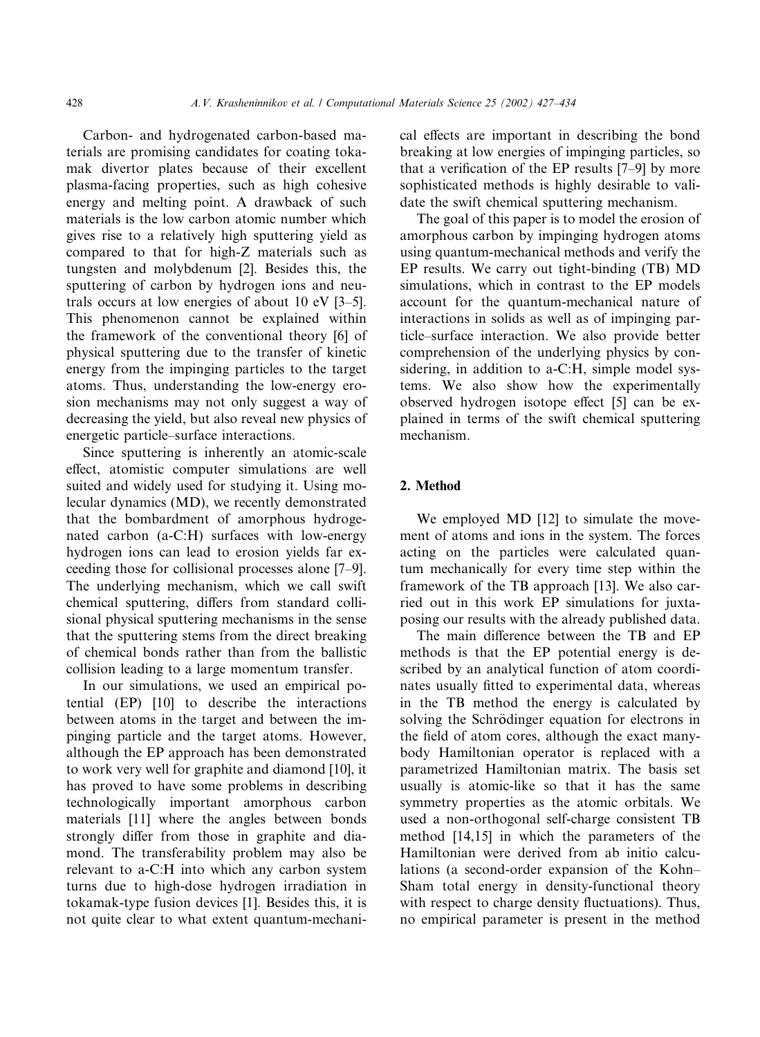Carbon- and hydrogenated carbon-based materials are promising candidates for coating tokamak divertor plates because of their excellent plasma-facing properties, such as high cohesive energy and melting point. A drawback of such materials is the low carbon atomic number which gives rise to a relatively high sputtering yield as compared to that for high-Z materials such as tungsten and molybdenum [2]. Besides this, the sputtering of carbon by hydrogen ions and neutrals occurs at low energies of about 10 eV [3–5]. This phenomenon cannot be explained within the framework of the conventional theory [6] of physical sputtering due to the transfer of kinetic energy from the impinging particles to the target atoms. Thus, understanding the low-energy erosion mechanisms may not only suggest a way of decreasing the yield, but also reveal new physics of energetic particle–surface interactions.

Since sputtering is inherently an atomic-scale effect, atomistic computer simulations are well suited and widely used for studying it. Using molecular dynamics (MD), we recently demonstrated that the bombardment of amorphous hydrogenated carbon (a-C:H) surfaces with low-energy hydrogen ions can lead to erosion yields far exceeding those for collisional processes alone [7–9]. The underlying mechanism, which we call swift chemical sputtering, differs from standard collisional physical sputtering mechanisms in the sense that the sputtering stems from the direct breaking of chemical bonds rather than from the ballistic collision leading to a large momentum transfer.

In our simulations, we used an empirical potential (EP) [10] to describe the interactions between atoms in the target and between the impinging particle and the target atoms. However, although the EP approach has been demonstrated to work very well for graphite and diamond [10], it has proved to have some problems in describing technologically important amorphous carbon materials [11] where the angles between bonds strongly differ from those in graphite and diamond. The transferability problem may also be relevant to a-C:H into which any carbon system turns due to high-dose hydrogen irradiation in tokamak-type fusion devices [1]. Besides this, it is not quite clear to what extent quantum-mechanical effects are important in describing the bond breaking at low energies of impinging particles, so that a verification of the EP results [7–9] by more sophisticated methods is highly desirable to validate the swift chemical sputtering mechanism.

The goal of this paper is to model the erosion of amorphous carbon by impinging hydrogen atoms using quantum-mechanical methods and verify the EP results. We carry out tight-binding (TB) MD simulations, which in contrast to the EP models account for the quantum-mechanical nature of interactions in solids as well as of impinging particle–surface interaction. We also provide better comprehension of the underlying physics by considering, in addition to a-C:H, simple model systems. We also show how the experimentally observed hydrogen isotope effect [5] can be explained in terms of the swift chemical sputtering mechanism.

## 2. Method

We employed MD [12] to simulate the movement of atoms and ions in the system. The forces acting on the particles were calculated quantum mechanically for every time step within the framework of the TB approach [13]. We also carried out in this work EP simulations for juxtaposing our results with the already published data.

The main difference between the TB and EP methods is that the EP potential energy is described by an analytical function of atom coordinates usually fitted to experimental data, whereas in the TB method the energy is calculated by solving the Schrödinger equation for electrons in the field of atom cores, although the exact manybody Hamiltonian operator is replaced with a parametrized Hamiltonian matrix. The basis set usually is atomic-like so that it has the same symmetry properties as the atomic orbitals. We used a non-orthogonal self-charge consistent TB method [14,15] in which the parameters of the Hamiltonian were derived from ab initio calculations (a second-order expansion of the Kohn– Sham total energy in density-functional theory with respect to charge density fluctuations). Thus, no empirical parameter is present in the method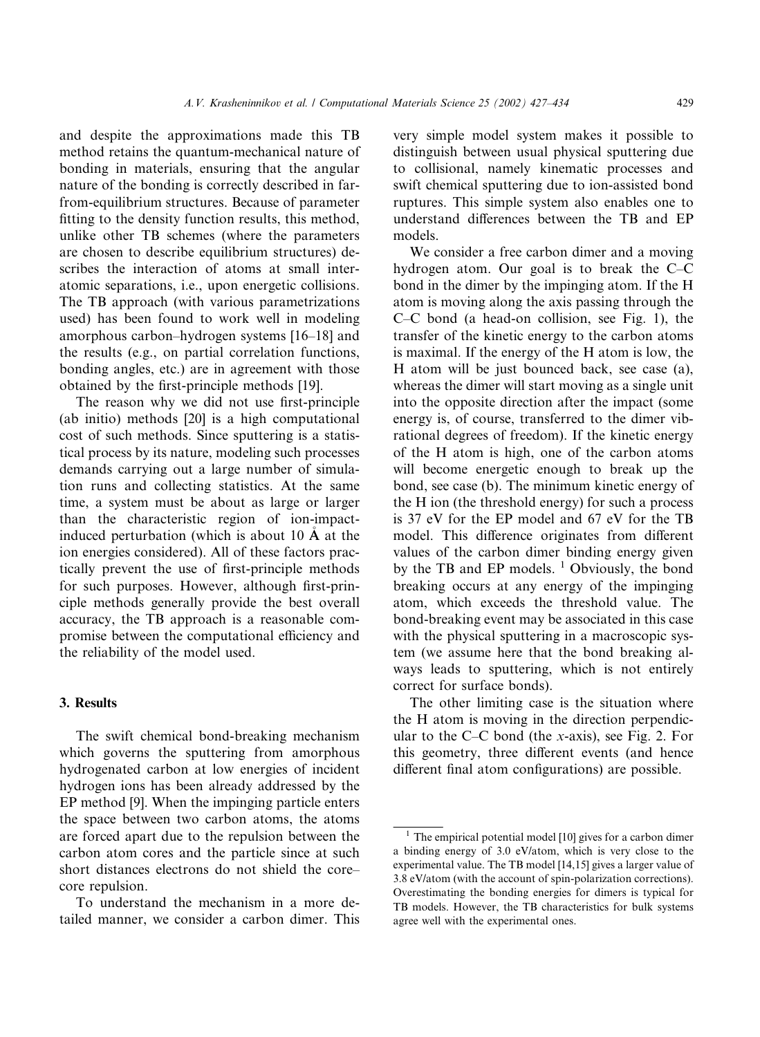A.V. Krasheninnikov et al. / Computational Materials Science 25 (2002) 427–434 429

and despite the approximations made this TB method retains the quantum-mechanical nature of bonding in materials, ensuring that the angular nature of the bonding is correctly described in farfrom-equilibrium structures. Because of parameter fitting to the density function results, this method, unlike other TB schemes (where the parameters are chosen to describe equilibrium structures) describes the interaction of atoms at small interatomic separations, i.e., upon energetic collisions. The TB approach (with various parametrizations used) has been found to work well in modeling amorphous carbon–hydrogen systems [16–18] and the results (e.g., on partial correlation functions, bonding angles, etc.) are in agreement with those obtained by the first-principle methods [19].

The reason why we did not use first-principle (ab initio) methods [20] is a high computational cost of such methods. Since sputtering is a statistical process by its nature, modeling such processes demands carrying out a large number of simulation runs and collecting statistics. At the same time, a system must be about as large or larger than the characteristic region of ion-impactinduced perturbation (which is about 10  $\AA$  at the ion energies considered). All of these factors practically prevent the use of first-principle methods for such purposes. However, although first-principle methods generally provide the best overall accuracy, the TB approach is a reasonable compromise between the computational efficiency and the reliability of the model used.

## 3. Results

The swift chemical bond-breaking mechanism which governs the sputtering from amorphous hydrogenated carbon at low energies of incident hydrogen ions has been already addressed by the EP method [9]. When the impinging particle enters the space between two carbon atoms, the atoms are forced apart due to the repulsion between the carbon atom cores and the particle since at such short distances electrons do not shield the core– core repulsion.

To understand the mechanism in a more detailed manner, we consider a carbon dimer. This very simple model system makes it possible to distinguish between usual physical sputtering due to collisional, namely kinematic processes and swift chemical sputtering due to ion-assisted bond ruptures. This simple system also enables one to understand differences between the TB and EP models.

We consider a free carbon dimer and a moving hydrogen atom. Our goal is to break the C–C bond in the dimer by the impinging atom. If the H atom is moving along the axis passing through the C–C bond (a head-on collision, see Fig. 1), the transfer of the kinetic energy to the carbon atoms is maximal. If the energy of the H atom is low, the H atom will be just bounced back, see case (a), whereas the dimer will start moving as a single unit into the opposite direction after the impact (some energy is, of course, transferred to the dimer vibrational degrees of freedom). If the kinetic energy of the H atom is high, one of the carbon atoms will become energetic enough to break up the bond, see case (b). The minimum kinetic energy of the H ion (the threshold energy) for such a process is 37 eV for the EP model and 67 eV for the TB model. This difference originates from different values of the carbon dimer binding energy given by the TB and EP models.  $\frac{1}{1}$  Obviously, the bond breaking occurs at any energy of the impinging atom, which exceeds the threshold value. The bond-breaking event may be associated in this case with the physical sputtering in a macroscopic system (we assume here that the bond breaking always leads to sputtering, which is not entirely correct for surface bonds).

The other limiting case is the situation where the H atom is moving in the direction perpendicular to the C–C bond (the x-axis), see Fig. 2. For this geometry, three different events (and hence different final atom configurations) are possible.

The empirical potential model [10] gives for a carbon dimer a binding energy of 3.0 eV/atom, which is very close to the experimental value. The TB model [14,15] gives a larger value of 3.8 eV/atom (with the account of spin-polarization corrections). Overestimating the bonding energies for dimers is typical for TB models. However, the TB characteristics for bulk systems agree well with the experimental ones.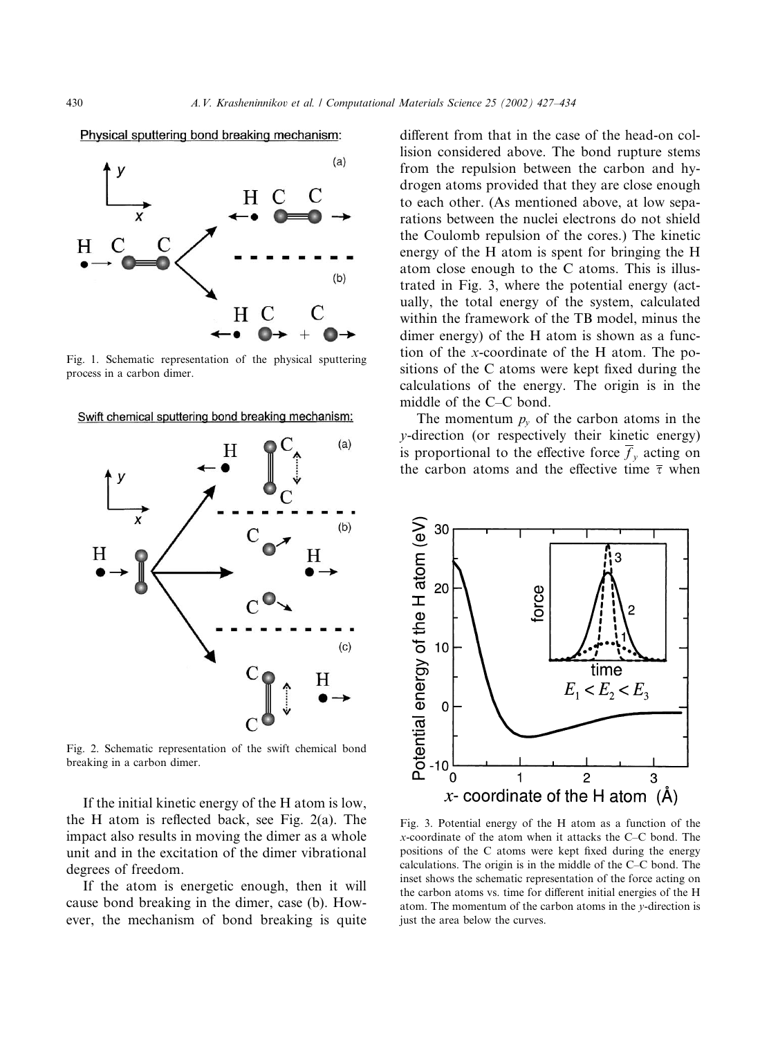

Fig. 1. Schematic representation of the physical sputtering process in a carbon dimer.





Fig. 2. Schematic representation of the swift chemical bond breaking in a carbon dimer.

If the initial kinetic energy of the H atom is low, the H atom is reflected back, see Fig. 2(a). The impact also results in moving the dimer as a whole unit and in the excitation of the dimer vibrational degrees of freedom.

If the atom is energetic enough, then it will cause bond breaking in the dimer, case (b). However, the mechanism of bond breaking is quite different from that in the case of the head-on collision considered above. The bond rupture stems from the repulsion between the carbon and hydrogen atoms provided that they are close enough to each other. (As mentioned above, at low separations between the nuclei electrons do not shield the Coulomb repulsion of the cores.) The kinetic energy of the H atom is spent for bringing the H atom close enough to the C atoms. This is illustrated in Fig. 3, where the potential energy (actually, the total energy of the system, calculated within the framework of the TB model, minus the dimer energy) of the H atom is shown as a function of the x-coordinate of the H atom. The positions of the C atoms were kept fixed during the calculations of the energy. The origin is in the middle of the C–C bond.

The momentum  $p_{\nu}$  of the carbon atoms in the y-direction (or respectively their kinetic energy) is proportional to the effective force  $f<sub>v</sub>$  acting on the carbon atoms and the effective time  $\bar{\tau}$  when



Fig. 3. Potential energy of the H atom as a function of the x-coordinate of the atom when it attacks the C–C bond. The positions of the C atoms were kept fixed during the energy calculations. The origin is in the middle of the C–C bond. The inset shows the schematic representation of the force acting on the carbon atoms vs. time for different initial energies of the H atom. The momentum of the carbon atoms in the  $y$ -direction is just the area below the curves.

Physical sputtering bond breaking mechanism: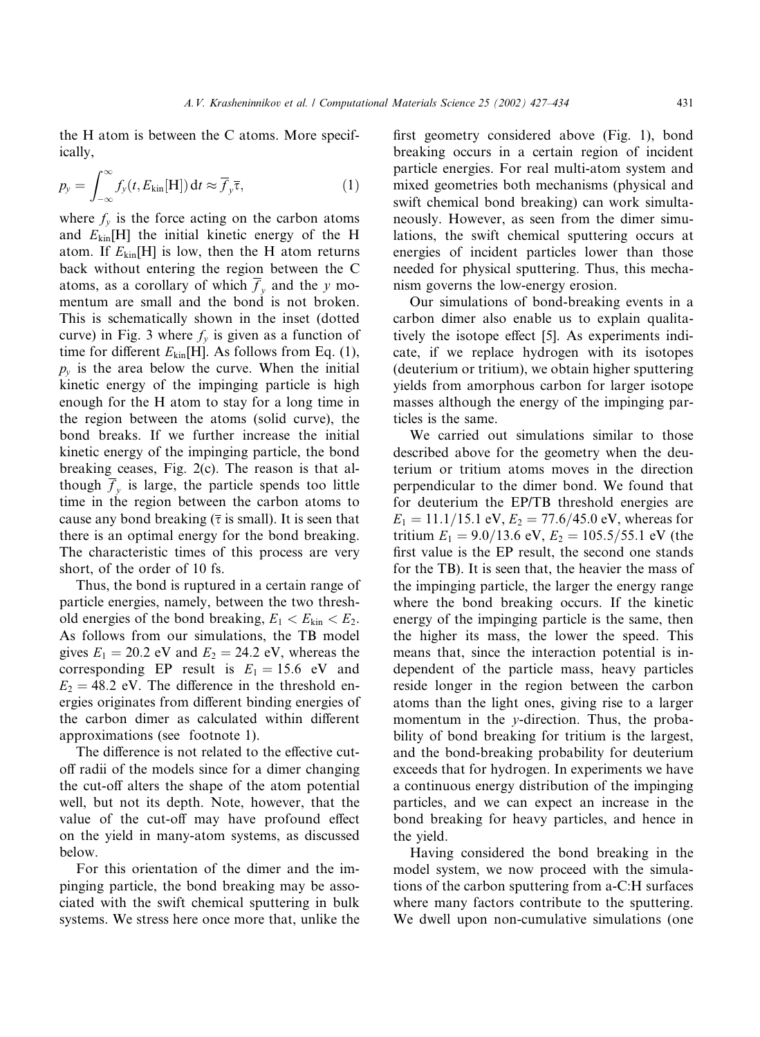the H atom is between the C atoms. More specifically,

$$
p_{y} = \int_{-\infty}^{\infty} f_{y}(t, E_{\text{kin}}[\text{H}]) dt \approx \overline{f}_{y} \overline{\tau}, \qquad (1)
$$

where  $f<sub>v</sub>$  is the force acting on the carbon atoms and  $E_{kin}$ [H] the initial kinetic energy of the H atom. If  $E_{kin}[H]$  is low, then the H atom returns back without entering the region between the C atoms, as a corollary of which  $\overline{f}_y$  and the y momentum are small and the bond is not broken. This is schematically shown in the inset (dotted curve) in Fig. 3 where  $f<sub>v</sub>$  is given as a function of time for different  $E_{kin}$ [H]. As follows from Eq. (1),  $p<sub>v</sub>$  is the area below the curve. When the initial kinetic energy of the impinging particle is high enough for the H atom to stay for a long time in the region between the atoms (solid curve), the bond breaks. If we further increase the initial kinetic energy of the impinging particle, the bond breaking ceases, Fig. 2(c). The reason is that although  $\overline{f}_y$  is large, the particle spends too little time in the region between the carbon atoms to cause any bond breaking ( $\overline{\tau}$  is small). It is seen that there is an optimal energy for the bond breaking. The characteristic times of this process are very short, of the order of 10 fs.

Thus, the bond is ruptured in a certain range of particle energies, namely, between the two threshold energies of the bond breaking,  $E_1 < E_{kin} < E_2$ . As follows from our simulations, the TB model gives  $E_1 = 20.2$  eV and  $E_2 = 24.2$  eV, whereas the corresponding EP result is  $E_1 = 15.6$  eV and  $E_2 = 48.2$  eV. The difference in the threshold energies originates from different binding energies of the carbon dimer as calculated within different approximations (see footnote 1).

The difference is not related to the effective cutoff radii of the models since for a dimer changing the cut-off alters the shape of the atom potential well, but not its depth. Note, however, that the value of the cut-off may have profound effect on the yield in many-atom systems, as discussed below.

For this orientation of the dimer and the impinging particle, the bond breaking may be associated with the swift chemical sputtering in bulk systems. We stress here once more that, unlike the first geometry considered above (Fig. 1), bond breaking occurs in a certain region of incident particle energies. For real multi-atom system and mixed geometries both mechanisms (physical and swift chemical bond breaking) can work simultaneously. However, as seen from the dimer simulations, the swift chemical sputtering occurs at energies of incident particles lower than those needed for physical sputtering. Thus, this mechanism governs the low-energy erosion.

Our simulations of bond-breaking events in a carbon dimer also enable us to explain qualitatively the isotope effect [5]. As experiments indicate, if we replace hydrogen with its isotopes (deuterium or tritium), we obtain higher sputtering yields from amorphous carbon for larger isotope masses although the energy of the impinging particles is the same.

We carried out simulations similar to those described above for the geometry when the deuterium or tritium atoms moves in the direction perpendicular to the dimer bond. We found that for deuterium the EP/TB threshold energies are  $E_1 = 11.1/15.1$  eV,  $E_2 = 77.6/45.0$  eV, whereas for tritium  $E_1 = 9.0/13.6$  eV,  $E_2 = 105.5/55.1$  eV (the first value is the EP result, the second one stands for the TB). It is seen that, the heavier the mass of the impinging particle, the larger the energy range where the bond breaking occurs. If the kinetic energy of the impinging particle is the same, then the higher its mass, the lower the speed. This means that, since the interaction potential is independent of the particle mass, heavy particles reside longer in the region between the carbon atoms than the light ones, giving rise to a larger momentum in the y-direction. Thus, the probability of bond breaking for tritium is the largest, and the bond-breaking probability for deuterium exceeds that for hydrogen. In experiments we have a continuous energy distribution of the impinging particles, and we can expect an increase in the bond breaking for heavy particles, and hence in the yield.

Having considered the bond breaking in the model system, we now proceed with the simulations of the carbon sputtering from a-C:H surfaces where many factors contribute to the sputtering. We dwell upon non-cumulative simulations (one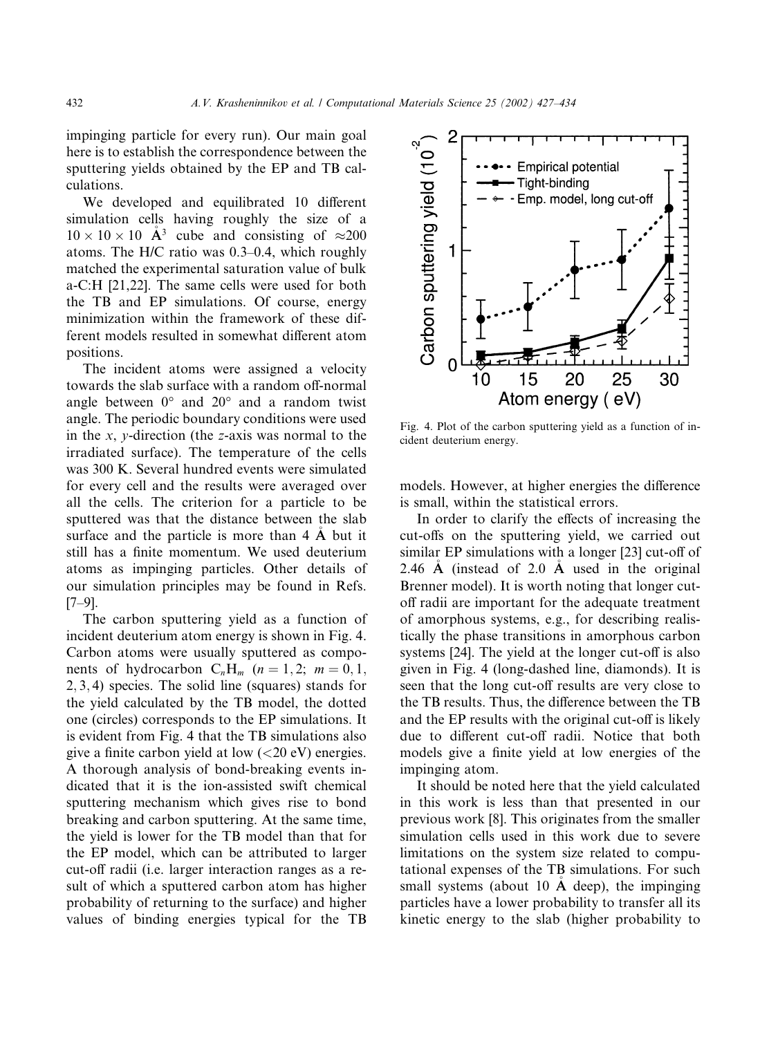impinging particle for every run). Our main goal here is to establish the correspondence between the sputtering yields obtained by the EP and TB calculations.

We developed and equilibrated 10 different simulation cells having roughly the size of a  $10 \times 10 \times 10$  Å<sup>3</sup> cube and consisting of  $\approx 200$ atoms. The H/C ratio was 0.3–0.4, which roughly matched the experimental saturation value of bulk a-C:H [21,22]. The same cells were used for both the TB and EP simulations. Of course, energy minimization within the framework of these different models resulted in somewhat different atom positions.

The incident atoms were assigned a velocity towards the slab surface with a random off-normal angle between  $0^{\circ}$  and  $20^{\circ}$  and a random twist angle. The periodic boundary conditions were used in the x, y-direction (the z-axis was normal to the irradiated surface). The temperature of the cells was 300 K. Several hundred events were simulated for every cell and the results were averaged over all the cells. The criterion for a particle to be sputtered was that the distance between the slab surface and the particle is more than  $4 \mathring{A}$  but it still has a finite momentum. We used deuterium atoms as impinging particles. Other details of our simulation principles may be found in Refs. [7–9].

The carbon sputtering yield as a function of incident deuterium atom energy is shown in Fig. 4. Carbon atoms were usually sputtered as components of hydrocarbon  $C_nH_m$  ( $n = 1, 2; m = 0, 1;$ 2; 3; 4) species. The solid line (squares) stands for the yield calculated by the TB model, the dotted one (circles) corresponds to the EP simulations. It is evident from Fig. 4 that the TB simulations also give a finite carbon yield at low  $(<20 eV)$  energies. A thorough analysis of bond-breaking events indicated that it is the ion-assisted swift chemical sputtering mechanism which gives rise to bond breaking and carbon sputtering. At the same time, the yield is lower for the TB model than that for the EP model, which can be attributed to larger cut-off radii (i.e. larger interaction ranges as a result of which a sputtered carbon atom has higher probability of returning to the surface) and higher values of binding energies typical for the TB



Fig. 4. Plot of the carbon sputtering yield as a function of incident deuterium energy.

models. However, at higher energies the difference is small, within the statistical errors.

In order to clarify the effects of increasing the cut-offs on the sputtering yield, we carried out similar EP simulations with a longer [23] cut-off of 2.46  $\AA$  (instead of 2.0  $\AA$  used in the original Brenner model). It is worth noting that longer cutoff radii are important for the adequate treatment of amorphous systems, e.g., for describing realistically the phase transitions in amorphous carbon systems [24]. The yield at the longer cut-off is also given in Fig. 4 (long-dashed line, diamonds). It is seen that the long cut-off results are very close to the TB results. Thus, the difference between the TB and the EP results with the original cut-off is likely due to different cut-off radii. Notice that both models give a finite yield at low energies of the impinging atom.

It should be noted here that the yield calculated in this work is less than that presented in our previous work [8]. This originates from the smaller simulation cells used in this work due to severe limitations on the system size related to computational expenses of the TB simulations. For such small systems (about 10  $\AA$  deep), the impinging particles have a lower probability to transfer all its kinetic energy to the slab (higher probability to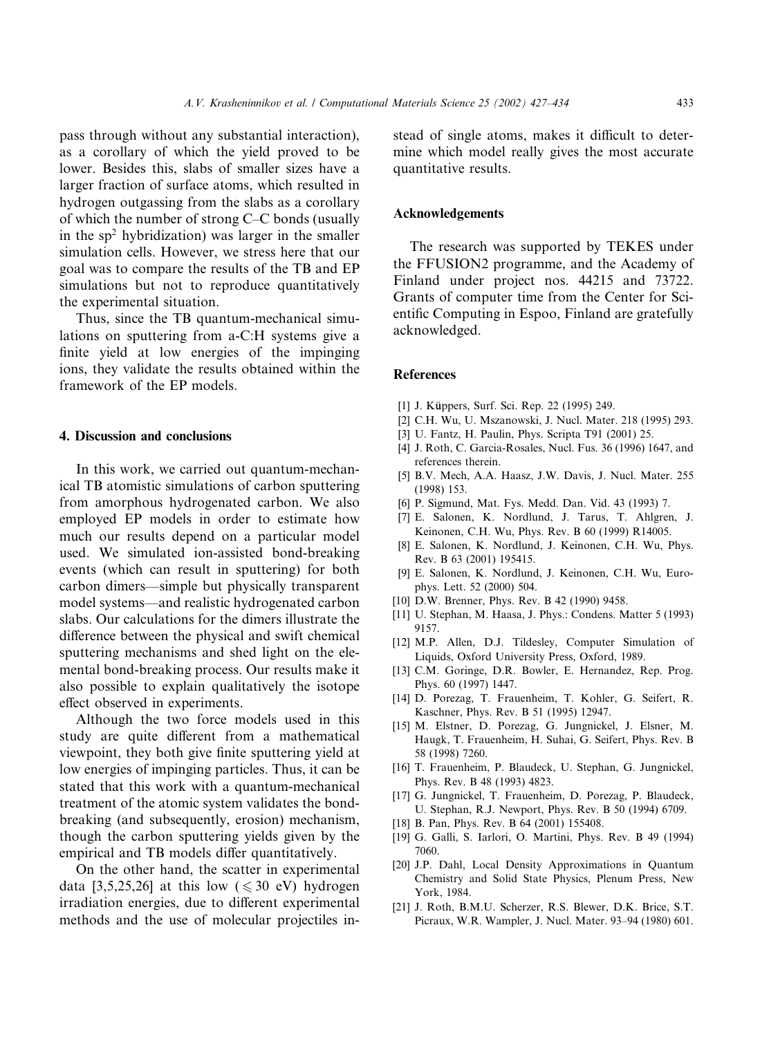pass through without any substantial interaction), as a corollary of which the yield proved to be lower. Besides this, slabs of smaller sizes have a larger fraction of surface atoms, which resulted in hydrogen outgassing from the slabs as a corollary of which the number of strong C–C bonds (usually in the  $sp<sup>2</sup>$  hybridization) was larger in the smaller simulation cells. However, we stress here that our goal was to compare the results of the TB and EP simulations but not to reproduce quantitatively the experimental situation.

Thus, since the TB quantum-mechanical simulations on sputtering from a-C:H systems give a finite yield at low energies of the impinging ions, they validate the results obtained within the framework of the EP models.

#### 4. Discussion and conclusions

In this work, we carried out quantum-mechanical TB atomistic simulations of carbon sputtering from amorphous hydrogenated carbon. We also employed EP models in order to estimate how much our results depend on a particular model used. We simulated ion-assisted bond-breaking events (which can result in sputtering) for both carbon dimers––simple but physically transparent model systems––and realistic hydrogenated carbon slabs. Our calculations for the dimers illustrate the difference between the physical and swift chemical sputtering mechanisms and shed light on the elemental bond-breaking process. Our results make it also possible to explain qualitatively the isotope effect observed in experiments.

Although the two force models used in this study are quite different from a mathematical viewpoint, they both give finite sputtering yield at low energies of impinging particles. Thus, it can be stated that this work with a quantum-mechanical treatment of the atomic system validates the bondbreaking (and subsequently, erosion) mechanism, though the carbon sputtering yields given by the empirical and TB models differ quantitatively.

On the other hand, the scatter in experimental data [3,5,25,26] at this low ( $\leq 30$  eV) hydrogen irradiation energies, due to different experimental methods and the use of molecular projectiles instead of single atoms, makes it difficult to determine which model really gives the most accurate quantitative results.

## Acknowledgements

The research was supported by TEKES under the FFUSION2 programme, and the Academy of Finland under project nos. 44215 and 73722. Grants of computer time from the Center for Scientific Computing in Espoo, Finland are gratefully acknowledged.

#### References

- [1] J. Küppers, Surf. Sci. Rep. 22 (1995) 249.
- [2] C.H. Wu, U. Mszanowski, J. Nucl. Mater. 218 (1995) 293.
- [3] U. Fantz, H. Paulin, Phys. Scripta T91 (2001) 25.
- [4] J. Roth, C. Garcia-Rosales, Nucl. Fus. 36 (1996) 1647, and references therein.
- [5] B.V. Mech, A.A. Haasz, J.W. Davis, J. Nucl. Mater. 255 (1998) 153.
- [6] P. Sigmund, Mat. Fys. Medd. Dan. Vid. 43 (1993) 7.
- [7] E. Salonen, K. Nordlund, J. Tarus, T. Ahlgren, J. Keinonen, C.H. Wu, Phys. Rev. B 60 (1999) R14005.
- [8] E. Salonen, K. Nordlund, J. Keinonen, C.H. Wu, Phys. Rev. B 63 (2001) 195415.
- [9] E. Salonen, K. Nordlund, J. Keinonen, C.H. Wu, Europhys. Lett. 52 (2000) 504.
- [10] D.W. Brenner, Phys. Rev. B 42 (1990) 9458.
- [11] U. Stephan, M. Haasa, J. Phys.: Condens. Matter 5 (1993) 9157.
- [12] M.P. Allen, D.J. Tildesley, Computer Simulation of Liquids, Oxford University Press, Oxford, 1989.
- [13] C.M. Goringe, D.R. Bowler, E. Hernandez, Rep. Prog. Phys. 60 (1997) 1447.
- [14] D. Porezag, T. Frauenheim, T. Kohler, G. Seifert, R. Kaschner, Phys. Rev. B 51 (1995) 12947.
- [15] M. Elstner, D. Porezag, G. Jungnickel, J. Elsner, M. Haugk, T. Frauenheim, H. Suhai, G. Seifert, Phys. Rev. B 58 (1998) 7260.
- [16] T. Frauenheim, P. Blaudeck, U. Stephan, G. Jungnickel, Phys. Rev. B 48 (1993) 4823.
- [17] G. Jungnickel, T. Frauenheim, D. Porezag, P. Blaudeck, U. Stephan, R.J. Newport, Phys. Rev. B 50 (1994) 6709.
- [18] B. Pan, Phys. Rev. B 64 (2001) 155408.
- [19] G. Galli, S. Iarlori, O. Martini, Phys. Rev. B 49 (1994) 7060.
- [20] J.P. Dahl, Local Density Approximations in Quantum Chemistry and Solid State Physics, Plenum Press, New York, 1984.
- [21] J. Roth, B.M.U. Scherzer, R.S. Blewer, D.K. Brice, S.T. Picraux, W.R. Wampler, J. Nucl. Mater. 93–94 (1980) 601.